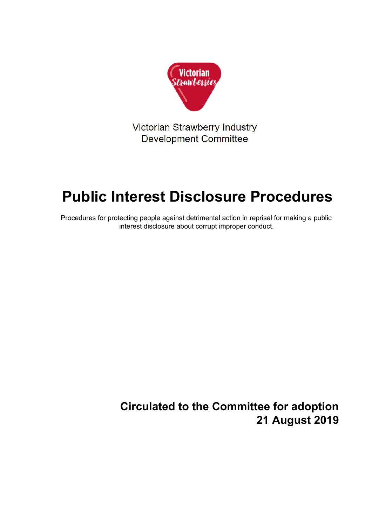

Victorian Strawberry Industry **Development Committee** 

# **Public Interest Disclosure Procedures**

Procedures for protecting people against detrimental action in reprisal for making a public interest disclosure about corrupt improper conduct.

> **Circulated to the Committee for adoption 21 August 2019**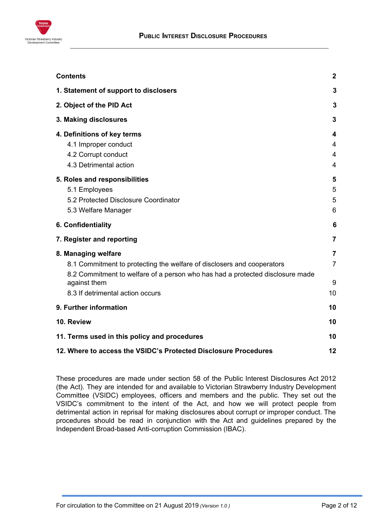

<span id="page-1-0"></span>

| <b>Contents</b>                                                               | $\mathbf{2}$   |
|-------------------------------------------------------------------------------|----------------|
| 1. Statement of support to disclosers                                         | 3              |
| 2. Object of the PID Act                                                      | 3              |
| 3. Making disclosures                                                         | 3              |
| 4. Definitions of key terms                                                   | 4              |
| 4.1 Improper conduct                                                          | 4              |
| 4.2 Corrupt conduct                                                           | 4              |
| 4.3 Detrimental action                                                        | 4              |
| 5. Roles and responsibilities                                                 | 5              |
| 5.1 Employees                                                                 | 5              |
| 5.2 Protected Disclosure Coordinator                                          | 5              |
| 5.3 Welfare Manager                                                           | 6              |
| 6. Confidentiality                                                            | 6              |
| 7. Register and reporting                                                     | $\overline{7}$ |
| 8. Managing welfare                                                           | $\overline{7}$ |
| 8.1 Commitment to protecting the welfare of disclosers and cooperators        | $\overline{7}$ |
| 8.2 Commitment to welfare of a person who has had a protected disclosure made |                |
| against them                                                                  | 9              |
| 8.3 If detrimental action occurs                                              | 10             |
| 9. Further information                                                        | 10             |
| 10. Review                                                                    | 10             |
| 11. Terms used in this policy and procedures                                  | 10             |
| 12. Where to access the VSIDC's Protected Disclosure Procedures               |                |

These procedures are made under section 58 of the Public Interest Disclosures Act 2012 (the Act). They are intended for and available to Victorian Strawberry Industry Development Committee (VSIDC) employees, officers and members and the public. They set out the VSIDC's commitment to the intent of the Act, and how we will protect people from detrimental action in reprisal for making disclosures about corrupt or improper conduct. The procedures should be read in conjunction with the Act and guidelines prepared by the Independent Broad-based Anti-corruption Commission (IBAC).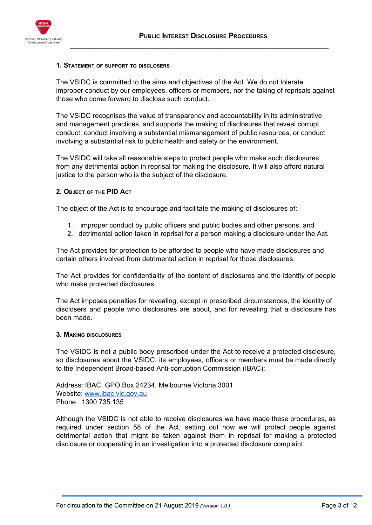

#### <span id="page-2-0"></span>**1. STATEMENT OF SUPPORT TO DISCLOSERS**

The VSIDC is committed to the aims and objectives of the Act. We do not tolerate improper conduct by our employees, officers or members, nor the taking of reprisals against those who come forward to disclose such conduct.

The VSIDC recognises the value of transparency and accountability in its administrative and management practices, and supports the making of disclosures that reveal corrupt conduct, conduct involving a substantial mismanagement of public resources, or conduct involving a substantial risk to public health and safety or the environment.

The VSIDC will take all reasonable steps to protect people who make such disclosures from any detrimental action in reprisal for making the disclosure. It will also afford natural justice to the person who is the subject of the disclosure.

#### <span id="page-2-1"></span>**2. OBJECT OF THE PID ACT**

The object of the Act is to encourage and facilitate the making of disclosures of:

- 1. improper conduct by public officers and public bodies and other persons, and
- 2. detrimental action taken in reprisal for a person making a disclosure under the Act.

The Act provides for protection to be afforded to people who have made disclosures and certain others involved from detrimental action in reprisal for those disclosures.

The Act provides for confidentiality of the content of disclosures and the identity of people who make protected disclosures.

The Act imposes penalties for revealing, except in prescribed circumstances, the identity of disclosers and people who disclosures are about, and for revealing that a disclosure has been made.

#### <span id="page-2-2"></span>**3. MAKING DISCLOSURES**

The VSIDC is not a public body prescribed under the Act to receive a protected disclosure, so disclosures about the VSIDC, its employees, officers or members must be made directly to the Independent Broad-based Anti-corruption Commission (IBAC):

Address: IBAC, GPO Box 24234, Melbourne Victoria 3001 Website: [www.ibac.vic.gov.au](http://www.ibac.vic.gov.au/) Phone : 1300 735 135

Although the VSIDC is not able to receive disclosures we have made these procedures, as required under section 58 of the Act, setting out how we will protect people against detrimental action that might be taken against them in reprisal for making a protected disclosure or cooperating in an investigation into a protected disclosure complaint.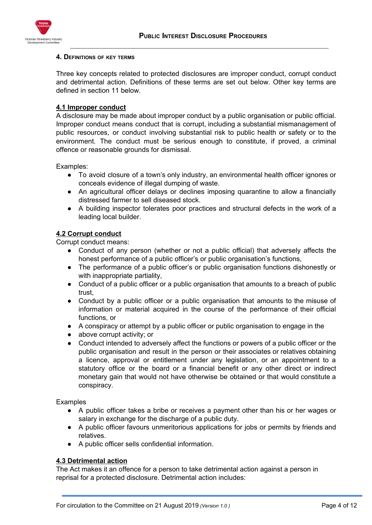

#### <span id="page-3-0"></span>**4. DEFINITIONS OF KEY TERMS**

Three key concepts related to protected disclosures are improper conduct, corrupt conduct and detrimental action. Definitions of these terms are set out below. Other key terms are defined in section 11 below.

# <span id="page-3-1"></span>**4.1 Improper conduct**

A disclosure may be made about improper conduct by a public organisation or public official. Improper conduct means conduct that is corrupt, including a substantial mismanagement of public resources, or conduct involving substantial risk to public health or safety or to the environment. The conduct must be serious enough to constitute, if proved, a criminal offence or reasonable grounds for dismissal.

Examples:

- To avoid closure of a town's only industry, an environmental health officer ignores or conceals evidence of illegal dumping of waste.
- An agricultural officer delays or declines imposing quarantine to allow a financially distressed farmer to sell diseased stock.
- A building inspector tolerates poor practices and structural defects in the work of a leading local builder.

## <span id="page-3-2"></span>**4.2 Corrupt conduct**

Corrupt conduct means:

- Conduct of any person (whether or not a public official) that adversely affects the honest performance of a public officer's or public organisation's functions,
- The performance of a public officer's or public organisation functions dishonestly or with inappropriate partiality,
- Conduct of a public officer or a public organisation that amounts to a breach of public trust,
- Conduct by a public officer or a public organisation that amounts to the misuse of information or material acquired in the course of the performance of their official functions, or
- A conspiracy or attempt by a public officer or public organisation to engage in the
- above corrupt activity; or
- Conduct intended to adversely affect the functions or powers of a public officer or the public organisation and result in the person or their associates or relatives obtaining a licence, approval or entitlement under any legislation, or an appointment to a statutory office or the board or a financial benefit or any other direct or indirect monetary gain that would not have otherwise be obtained or that would constitute a conspiracy.

Examples

- A public officer takes a bribe or receives a payment other than his or her wages or salary in exchange for the discharge of a public duty.
- A public officer favours unmeritorious applications for jobs or permits by friends and relatives.
- A public officer sells confidential information.

# <span id="page-3-3"></span>**4.3 Detrimental action**

The Act makes it an offence for a person to take detrimental action against a person in reprisal for a protected disclosure. Detrimental action includes: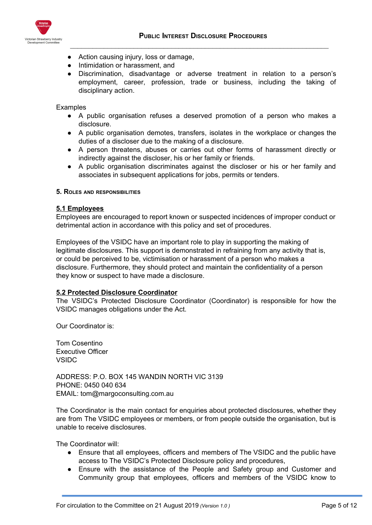

- Action causing injury, loss or damage,
- Intimidation or harassment, and
- Discrimination, disadvantage or adverse treatment in relation to a person's employment, career, profession, trade or business, including the taking of disciplinary action.

## Examples

- A public organisation refuses a deserved promotion of a person who makes a disclosure.
- A public organisation demotes, transfers, isolates in the workplace or changes the duties of a discloser due to the making of a disclosure.
- A person threatens, abuses or carries out other forms of harassment directly or indirectly against the discloser, his or her family or friends.
- A public organisation discriminates against the discloser or his or her family and associates in subsequent applications for jobs, permits or tenders.
- <span id="page-4-0"></span>**5. ROLES AND RESPONSIBILITIES**

# <span id="page-4-1"></span>**5.1 Employees**

Employees are encouraged to report known or suspected incidences of improper conduct or detrimental action in accordance with this policy and set of procedures.

Employees of the VSIDC have an important role to play in supporting the making of legitimate disclosures. This support is demonstrated in refraining from any activity that is, or could be perceived to be, victimisation or harassment of a person who makes a disclosure. Furthermore, they should protect and maintain the confidentiality of a person they know or suspect to have made a disclosure.

## <span id="page-4-2"></span>**5.2 Protected Disclosure Coordinator**

The VSIDC's Protected Disclosure Coordinator (Coordinator) is responsible for how the VSIDC manages obligations under the Act.

Our Coordinator is:

Tom Cosentino Executive Officer VSIDC

ADDRESS: P.O. BOX 145 WANDIN NORTH VIC 3139 PHONE: 0450 040 634 EMAIL: tom@margoconsulting.com.au

The Coordinator is the main contact for enquiries about protected disclosures, whether they are from The VSIDC employees or members, or from people outside the organisation, but is unable to receive disclosures.

The Coordinator will:

- Ensure that all employees, officers and members of The VSIDC and the public have access to The VSIDC's Protected Disclosure policy and procedures,
- Ensure with the assistance of the People and Safety group and Customer and Community group that employees, officers and members of the VSIDC know to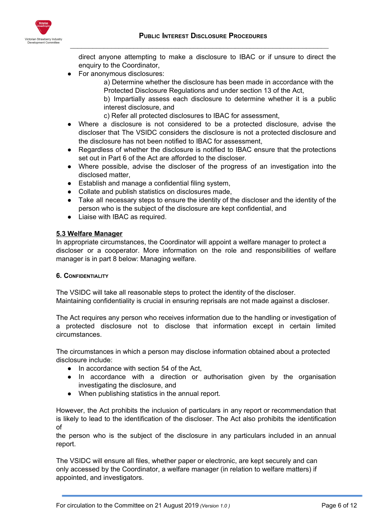

direct anyone attempting to make a disclosure to IBAC or if unsure to direct the enquiry to the Coordinator,

For anonymous disclosures:

a) Determine whether the disclosure has been made in accordance with the Protected Disclosure Regulations and under section 13 of the Act,

b) Impartially assess each disclosure to determine whether it is a public interest disclosure, and

- c) Refer all protected disclosures to IBAC for assessment,
- Where a disclosure is not considered to be a protected disclosure, advise the discloser that The VSIDC considers the disclosure is not a protected disclosure and the disclosure has not been notified to IBAC for assessment,
- Regardless of whether the disclosure is notified to IBAC ensure that the protections set out in Part 6 of the Act are afforded to the discloser.
- Where possible, advise the discloser of the progress of an investigation into the disclosed matter,
- Establish and manage a confidential filing system,
- Collate and publish statistics on disclosures made,
- Take all necessary steps to ensure the identity of the discloser and the identity of the person who is the subject of the disclosure are kept confidential, and
- Liaise with IBAC as required.

## <span id="page-5-0"></span>**5.3 Welfare Manager**

In appropriate circumstances, the Coordinator will appoint a welfare manager to protect a discloser or a cooperator. More information on the role and responsibilities of welfare manager is in part 8 below: Managing welfare.

## <span id="page-5-1"></span>**6. CONFIDENTIALITY**

The VSIDC will take all reasonable steps to protect the identity of the discloser. Maintaining confidentiality is crucial in ensuring reprisals are not made against a discloser.

The Act requires any person who receives information due to the handling or investigation of a protected disclosure not to disclose that information except in certain limited circumstances.

The circumstances in which a person may disclose information obtained about a protected disclosure include:

- In accordance with section 54 of the Act,
- In accordance with a direction or authorisation given by the organisation investigating the disclosure, and
- When publishing statistics in the annual report.

However, the Act prohibits the inclusion of particulars in any report or recommendation that is likely to lead to the identification of the discloser. The Act also prohibits the identification of

the person who is the subject of the disclosure in any particulars included in an annual report.

The VSIDC will ensure all files, whether paper or electronic, are kept securely and can only accessed by the Coordinator, a welfare manager (in relation to welfare matters) if appointed, and investigators.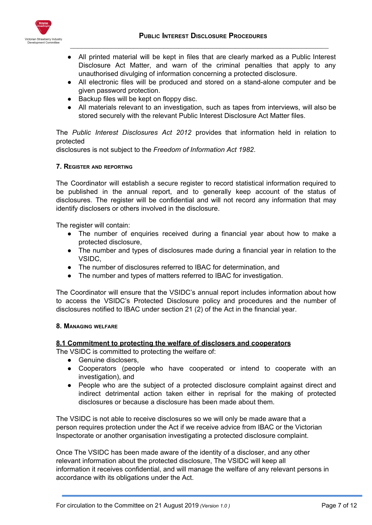

- All printed material will be kept in files that are clearly marked as a Public Interest Disclosure Act Matter, and warn of the criminal penalties that apply to any unauthorised divulging of information concerning a protected disclosure.
- All electronic files will be produced and stored on a stand-alone computer and be given password protection.
- Backup files will be kept on floppy disc.
- All materials relevant to an investigation, such as tapes from interviews, will also be stored securely with the relevant Public Interest Disclosure Act Matter files.

The *Public Interest Disclosures Act 2012* provides that information held in relation to protected

disclosures is not subject to the *Freedom of Information Act 1982*.

#### <span id="page-6-0"></span>**7. REGISTER AND REPORTING**

The Coordinator will establish a secure register to record statistical information required to be published in the annual report, and to generally keep account of the status of disclosures. The register will be confidential and will not record any information that may identify disclosers or others involved in the disclosure.

The register will contain:

- The number of enquiries received during a financial year about how to make a protected disclosure,
- The number and types of disclosures made during a financial year in relation to the VSIDC,
- The number of disclosures referred to IBAC for determination, and
- The number and types of matters referred to IBAC for investigation.

The Coordinator will ensure that the VSIDC's annual report includes information about how to access the VSIDC's Protected Disclosure policy and procedures and the number of disclosures notified to IBAC under section 21 (2) of the Act in the financial year.

#### <span id="page-6-1"></span>**8. MANAGING WELFARE**

## <span id="page-6-2"></span>**8.1 Commitment to protecting the welfare of disclosers and cooperators**

The VSIDC is committed to protecting the welfare of:

- Genuine disclosers,
- Cooperators (people who have cooperated or intend to cooperate with an investigation), and
- People who are the subject of a protected disclosure complaint against direct and indirect detrimental action taken either in reprisal for the making of protected disclosures or because a disclosure has been made about them.

The VSIDC is not able to receive disclosures so we will only be made aware that a person requires protection under the Act if we receive advice from IBAC or the Victorian Inspectorate or another organisation investigating a protected disclosure complaint.

Once The VSIDC has been made aware of the identity of a discloser, and any other relevant information about the protected disclosure, The VSIDC will keep all information it receives confidential, and will manage the welfare of any relevant persons in accordance with its obligations under the Act.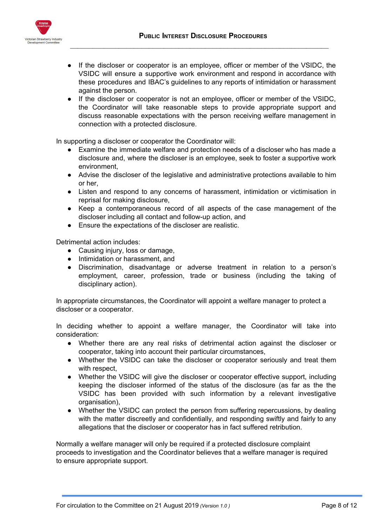

- If the discloser or cooperator is an employee, officer or member of the VSIDC, the VSIDC will ensure a supportive work environment and respond in accordance with these procedures and IBAC's guidelines to any reports of intimidation or harassment against the person.
- If the discloser or cooperator is not an employee, officer or member of the VSIDC, the Coordinator will take reasonable steps to provide appropriate support and discuss reasonable expectations with the person receiving welfare management in connection with a protected disclosure.

In supporting a discloser or cooperator the Coordinator will:

- Examine the immediate welfare and protection needs of a discloser who has made a disclosure and, where the discloser is an employee, seek to foster a supportive work environment,
- Advise the discloser of the legislative and administrative protections available to him or her,
- Listen and respond to any concerns of harassment, intimidation or victimisation in reprisal for making disclosure,
- Keep a contemporaneous record of all aspects of the case management of the discloser including all contact and follow-up action, and
- Ensure the expectations of the discloser are realistic.

Detrimental action includes:

- Causing injury, loss or damage,
- Intimidation or harassment, and
- Discrimination, disadvantage or adverse treatment in relation to a person's employment, career, profession, trade or business (including the taking of disciplinary action).

In appropriate circumstances, the Coordinator will appoint a welfare manager to protect a discloser or a cooperator.

In deciding whether to appoint a welfare manager, the Coordinator will take into consideration:

- Whether there are any real risks of detrimental action against the discloser or cooperator, taking into account their particular circumstances,
- Whether the VSIDC can take the discloser or cooperator seriously and treat them with respect,
- Whether the VSIDC will give the discloser or cooperator effective support, including keeping the discloser informed of the status of the disclosure (as far as the the VSIDC has been provided with such information by a relevant investigative organisation),
- Whether the VSIDC can protect the person from suffering repercussions, by dealing with the matter discreetly and confidentially, and responding swiftly and fairly to any allegations that the discloser or cooperator has in fact suffered retribution.

Normally a welfare manager will only be required if a protected disclosure complaint proceeds to investigation and the Coordinator believes that a welfare manager is required to ensure appropriate support.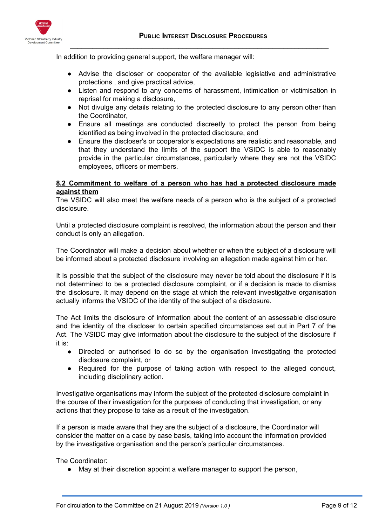

In addition to providing general support, the welfare manager will:

- Advise the discloser or cooperator of the available legislative and administrative protections , and give practical advice,
- Listen and respond to any concerns of harassment, intimidation or victimisation in reprisal for making a disclosure,
- Not divulge any details relating to the protected disclosure to any person other than the Coordinator,
- Ensure all meetings are conducted discreetly to protect the person from being identified as being involved in the protected disclosure, and
- Ensure the discloser's or cooperator's expectations are realistic and reasonable, and that they understand the limits of the support the VSIDC is able to reasonably provide in the particular circumstances, particularly where they are not the VSIDC employees, officers or members.

# <span id="page-8-0"></span>**8.2 Commitment to welfare of a person who has had a protected disclosure made against them**

The VSIDC will also meet the welfare needs of a person who is the subject of a protected disclosure.

Until a protected disclosure complaint is resolved, the information about the person and their conduct is only an allegation.

The Coordinator will make a decision about whether or when the subject of a disclosure will be informed about a protected disclosure involving an allegation made against him or her.

It is possible that the subject of the disclosure may never be told about the disclosure if it is not determined to be a protected disclosure complaint, or if a decision is made to dismiss the disclosure. It may depend on the stage at which the relevant investigative organisation actually informs the VSIDC of the identity of the subject of a disclosure.

The Act limits the disclosure of information about the content of an assessable disclosure and the identity of the discloser to certain specified circumstances set out in Part 7 of the Act. The VSIDC may give information about the disclosure to the subject of the disclosure if it is:

- Directed or authorised to do so by the organisation investigating the protected disclosure complaint, or
- Required for the purpose of taking action with respect to the alleged conduct, including disciplinary action.

Investigative organisations may inform the subject of the protected disclosure complaint in the course of their investigation for the purposes of conducting that investigation, or any actions that they propose to take as a result of the investigation.

If a person is made aware that they are the subject of a disclosure, the Coordinator will consider the matter on a case by case basis, taking into account the information provided by the investigative organisation and the person's particular circumstances.

The Coordinator:

● May at their discretion appoint a welfare manager to support the person,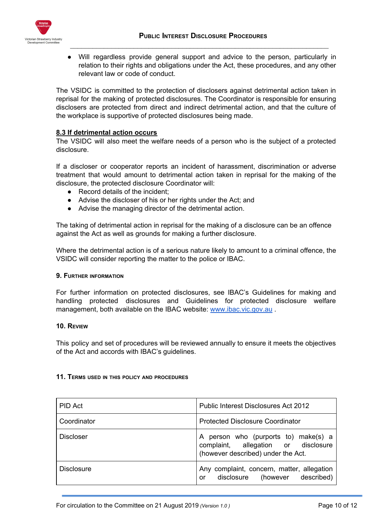

Will regardless provide general support and advice to the person, particularly in relation to their rights and obligations under the Act, these procedures, and any other relevant law or code of conduct.

The VSIDC is committed to the protection of disclosers against detrimental action taken in reprisal for the making of protected disclosures. The Coordinator is responsible for ensuring disclosers are protected from direct and indirect detrimental action, and that the culture of the workplace is supportive of protected disclosures being made.

## <span id="page-9-0"></span>**8.3 If detrimental action occurs**

The VSIDC will also meet the welfare needs of a person who is the subject of a protected disclosure.

If a discloser or cooperator reports an incident of harassment, discrimination or adverse treatment that would amount to detrimental action taken in reprisal for the making of the disclosure, the protected disclosure Coordinator will:

- Record details of the incident:
- Advise the discloser of his or her rights under the Act; and
- Advise the managing director of the detrimental action.

The taking of detrimental action in reprisal for the making of a disclosure can be an offence against the Act as well as grounds for making a further disclosure.

Where the detrimental action is of a serious nature likely to amount to a criminal offence, the VSIDC will consider reporting the matter to the police or IBAC.

#### <span id="page-9-1"></span>**9. FURTHER INFORMATION**

For further information on protected disclosures, see IBAC's Guidelines for making and handling protected disclosures and Guidelines for protected disclosure welfare management, both available on the IBAC website: [www.ibac.vic.gov.au](http://www.ibac.vic.gov.au/).

#### <span id="page-9-2"></span>**10. REVIEW**

This policy and set of procedures will be reviewed annually to ensure it meets the objectives of the Act and accords with IBAC's guidelines.

#### <span id="page-9-3"></span>**11. TERMS USED IN THIS POLICY AND PROCEDURES**

| PID Act           | <b>Public Interest Disclosures Act 2012</b>                                                                          |
|-------------------|----------------------------------------------------------------------------------------------------------------------|
| Coordinator       | <b>Protected Disclosure Coordinator</b>                                                                              |
| <b>Discloser</b>  | person who (purports to) make(s) a<br>A<br>complaint, allegation or disclosure<br>(however described) under the Act. |
| <b>Disclosure</b> | Any complaint, concern, matter, allegation<br>disclosure (however described)<br>or                                   |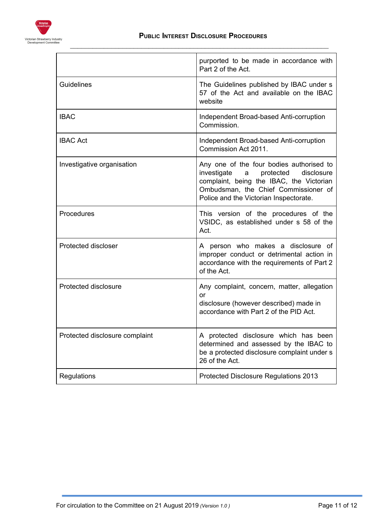

|                                | purported to be made in accordance with<br>Part 2 of the Act.                                                                                                                                                         |
|--------------------------------|-----------------------------------------------------------------------------------------------------------------------------------------------------------------------------------------------------------------------|
| Guidelines                     | The Guidelines published by IBAC under s<br>57 of the Act and available on the IBAC<br>website                                                                                                                        |
| <b>IBAC</b>                    | Independent Broad-based Anti-corruption<br>Commission.                                                                                                                                                                |
| <b>IBAC Act</b>                | Independent Broad-based Anti-corruption<br>Commission Act 2011.                                                                                                                                                       |
| Investigative organisation     | Any one of the four bodies authorised to<br>investigate<br>protected<br>disclosure<br>a<br>complaint, being the IBAC, the Victorian<br>Ombudsman, the Chief Commissioner of<br>Police and the Victorian Inspectorate. |
| Procedures                     | This version of the procedures of the<br>VSIDC, as established under s 58 of the<br>Act.                                                                                                                              |
| <b>Protected discloser</b>     | A person who makes a disclosure of<br>improper conduct or detrimental action in<br>accordance with the requirements of Part 2<br>of the Act.                                                                          |
| Protected disclosure           | Any complaint, concern, matter, allegation<br>or<br>disclosure (however described) made in<br>accordance with Part 2 of the PID Act.                                                                                  |
| Protected disclosure complaint | A protected disclosure which has been<br>determined and assessed by the IBAC to<br>be a protected disclosure complaint under s<br>26 of the Act.                                                                      |
| Regulations                    | Protected Disclosure Regulations 2013                                                                                                                                                                                 |